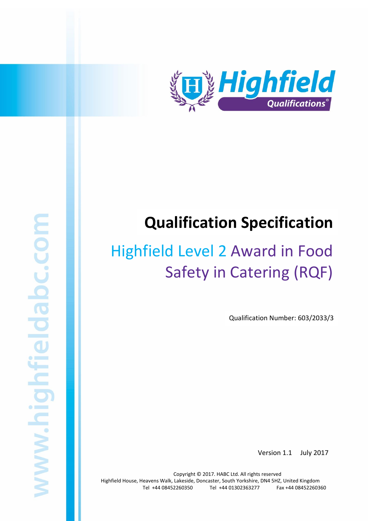

# **Qualification Specification**

# Highfield Level 2 Award in Food Safety in Catering (RQF)

Qualification Number: 603/2033/3

Version 1.1 July 2017

Copyright © 2017. HABC Ltd. All rights reserved Highfield House, Heavens Walk, Lakeside, Doncaster, South Yorkshire, DN4 5HZ, United Kingdom Tel +44 08452260350 Tel +44 01302363277 Fax +44 08452260360

Highfield Level 2 Award in Food Safety in Catering (RQF) 1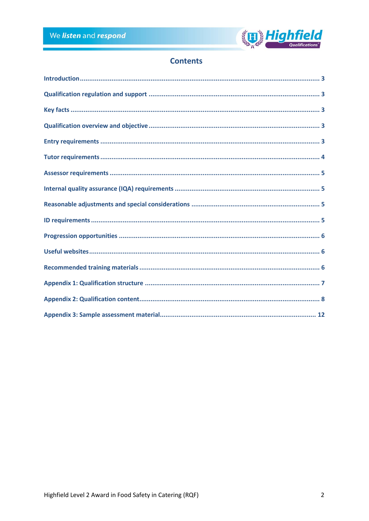

# **Contents**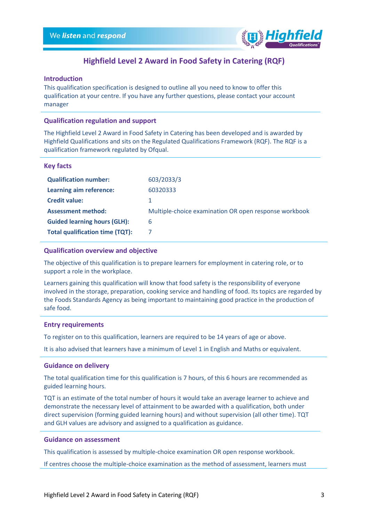

## **Highfield Level 2 Award in Food Safety in Catering (RQF)**

## <span id="page-2-0"></span>**Introduction**

This qualification specification is designed to outline all you need to know to offer this qualification at your centre. If you have any further questions, please contact your account manager

## <span id="page-2-1"></span>**Qualification regulation and support**

The Highfield Level 2 Award in Food Safety in Catering has been developed and is awarded by Highfield Qualifications and sits on the Regulated Qualifications Framework (RQF). The RQF is a qualification framework regulated by Ofqual.

### <span id="page-2-2"></span>**Key facts**

| 603/2033/3                                            |
|-------------------------------------------------------|
| 60320333                                              |
|                                                       |
| Multiple-choice examination OR open response workbook |
| 6                                                     |
|                                                       |
|                                                       |

## <span id="page-2-3"></span>**Qualification overview and objective**

The objective of this qualification is to prepare learners for employment in catering role, or to support a role in the workplace.

Learners gaining this qualification will know that food safety is the responsibility of everyone involved in the storage, preparation, cooking service and handling of food. Its topics are regarded by the Foods Standards Agency as being important to maintaining good practice in the production of safe food.

## <span id="page-2-4"></span>**Entry requirements**

To register on to this qualification, learners are required to be 14 years of age or above.

It is also advised that learners have a minimum of Level 1 in English and Maths or equivalent.

## **Guidance on delivery**

The total qualification time for this qualification is 7 hours, of this 6 hours are recommended as guided learning hours.

TQT is an estimate of the total number of hours it would take an average learner to achieve and demonstrate the necessary level of attainment to be awarded with a qualification, both under direct supervision (forming guided learning hours) and without supervision (all other time). TQT and GLH values are advisory and assigned to a qualification as guidance.

## **Guidance on assessment**

This qualification is assessed by multiple-choice examination OR open response workbook.

If centres choose the multiple-choice examination as the method of assessment, learners must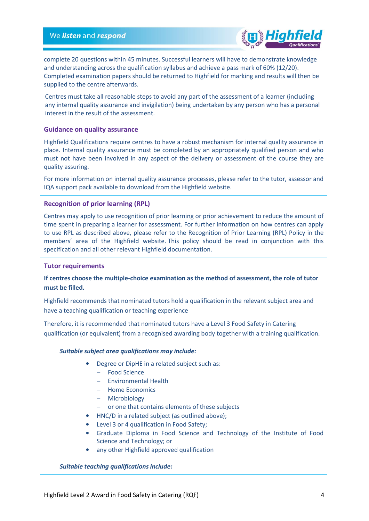

complete 20 questions within 45 minutes. Successful learners will have to demonstrate knowledge and understanding across the qualification syllabus and achieve a pass mark of 60% (12/20). Completed examination papers should be returned to Highfield for marking and results will then be supplied to the centre afterwards.

Centres must take all reasonable steps to avoid any part of the assessment of a learner (including any internal quality assurance and invigilation) being undertaken by any person who has a personal interest in the result of the assessment.

### **Guidance on quality assurance**

Highfield Qualifications require centres to have a robust mechanism for internal quality assurance in place. Internal quality assurance must be completed by an appropriately qualified person and who must not have been involved in any aspect of the delivery or assessment of the course they are quality assuring.

For more information on internal quality assurance processes, please refer to the tutor, assessor and IQA support pack available to download from the Highfield website.

## **Recognition of prior learning (RPL)**

Centres may apply to use recognition of prior learning or prior achievement to reduce the amount of time spent in preparing a learner for assessment. For further information on how centres can apply to use RPL as described above, please refer to the Recognition of Prior Learning (RPL) Policy in the members' area of the Highfield website. This policy should be read in conjunction with this specification and all other relevant Highfield documentation.

### <span id="page-3-0"></span>**Tutor requirements**

## **If centres choose the multiple-choice examination as the method of assessment, the role of tutor must be filled.**

Highfield recommends that nominated tutors hold a qualification in the relevant subject area and have a teaching qualification or teaching experience

Therefore, it is recommended that nominated tutors have a Level 3 Food Safety in Catering qualification (or equivalent) from a recognised awarding body together with a training qualification.

### *Suitable subject area qualifications may include:*

- Degree or DipHE in a related subject such as:
	- Food Science
	- Environmental Health
	- Home Economics
	- Microbiology
	- or one that contains elements of these subjects
- HNC/D in a related subject (as outlined above);
- Level 3 or 4 qualification in Food Safety;
- Graduate Diploma in Food Science and Technology of the Institute of Food Science and Technology; or
- any other Highfield approved qualification

### *Suitable teaching qualifications include:*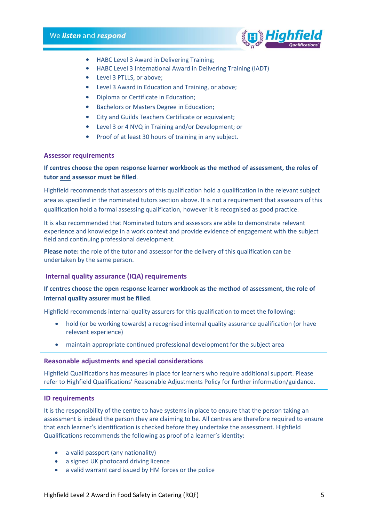

- HABC Level 3 Award in Delivering Training;
- HABC Level 3 International Award in Delivering Training (IADT)
- Level 3 PTLLS, or above;
- Level 3 Award in Education and Training, or above;
- Diploma or Certificate in Education;
- Bachelors or Masters Degree in Education;
- City and Guilds Teachers Certificate or equivalent;
- Level 3 or 4 NVQ in Training and/or Development; or
- Proof of at least 30 hours of training in any subject.

## <span id="page-4-0"></span>**Assessor requirements**

**If centres choose the open response learner workbook as the method of assessment, the roles of tutor and assessor must be filled**.

Highfield recommends that assessors of this qualification hold a qualification in the relevant subject area as specified in the nominated tutors section above. It is not a requirement that assessors of this qualification hold a formal assessing qualification, however it is recognised as good practice.

It is also recommended that Nominated tutors and assessors are able to demonstrate relevant experience and knowledge in a work context and provide evidence of engagement with the subject field and continuing professional development.

**Please note:** the role of the tutor and assessor for the delivery of this qualification can be undertaken by the same person.

## <span id="page-4-1"></span>**Internal quality assurance (IQA) requirements**

## **If centres choose the open response learner workbook as the method of assessment, the role of internal quality assurer must be filled**.

Highfield recommends internal quality assurers for this qualification to meet the following:

- hold (or be working towards) a recognised internal quality assurance qualification (or have relevant experience)
- maintain appropriate continued professional development for the subject area

### <span id="page-4-2"></span>**Reasonable adjustments and special considerations**

Highfield Qualifications has measures in place for learners who require additional support. Please refer to Highfield Qualifications' Reasonable Adjustments Policy for further information/guidance.

### <span id="page-4-3"></span>**ID requirements**

It is the responsibility of the centre to have systems in place to ensure that the person taking an assessment is indeed the person they are claiming to be. All centres are therefore required to ensure that each learner's identification is checked before they undertake the assessment. Highfield Qualifications recommends the following as proof of a learner's identity:

- a valid passport (any nationality)
- a signed UK photocard driving licence
- a valid warrant card issued by HM forces or the police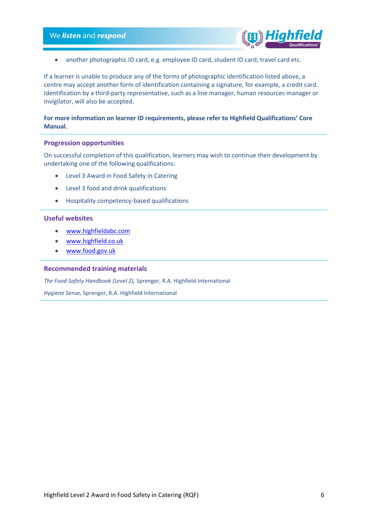

• another photographic ID card, e.g. employee ID card, student ID card, travel card etc.

If a learner is unable to produce any of the forms of photographic identification listed above, a centre may accept another form of identification containing a signature, for example, a credit card. Identification by a third-party representative, such as a line manager, human resources manager or invigilator, will also be accepted.

## **For more information on learner ID requirements, please refer to Highfield Qualifications' Core Manual.**

### <span id="page-5-0"></span>**Progression opportunities**

On successful completion of this qualification, learners may wish to continue their development by undertaking one of the following qualifications:

- Level 3 Award in Food Safety in Catering
- Level 3 food and drink qualifications
- Hospitality competency-based qualifications

## <span id="page-5-1"></span>**Useful websites**

- [www.highfieldabc.com](http://www.highfieldabc.com/)
- [www.highfield.co.uk](http://www.highfield.co.uk/)
- [www.food.gov.uk](http://www.food.gov.uk/)

#### <span id="page-5-2"></span>**Recommended training materials**

*The Food Safety Handbook (Level 2),* Sprenger, R.A. Highfield International

*Hygiene Sense,* Sprenger, R.A. Highfield International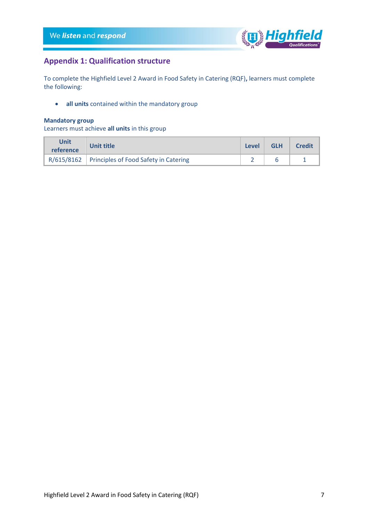

## <span id="page-6-0"></span>**Appendix 1: Qualification structure**

To complete the Highfield Level 2 Award in Food Safety in Catering (RQF)**,** learners must complete the following:

• **all units** contained within the mandatory group

## **Mandatory group**

Learners must achieve **all units** in this group

| <b>Unit</b><br>reference | <b>Unit title</b>                                  | Level | <b>GLH</b> | <b>Credit</b> |
|--------------------------|----------------------------------------------------|-------|------------|---------------|
|                          | $R/615/8162$ Principles of Food Safety in Catering |       |            |               |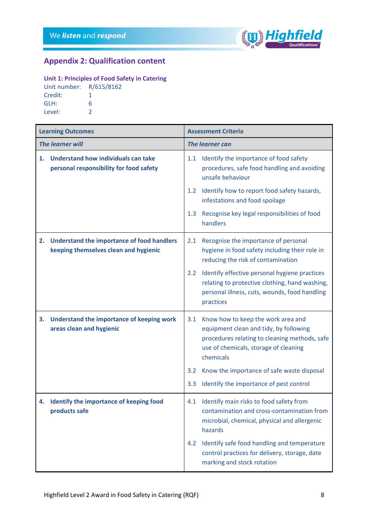

# <span id="page-7-0"></span>**Appendix 2: Qualification content**

## **Unit 1: Principles of Food Safety in Catering**

| Unit number: R/615/8162 |   |
|-------------------------|---|
| Credit:                 |   |
| GLH:                    | 6 |
| Level:                  | っ |

| <b>Learning Outcomes</b> |                                                                                     | <b>Assessment Criteria</b> |                                                                                                                                                                                     |  |
|--------------------------|-------------------------------------------------------------------------------------|----------------------------|-------------------------------------------------------------------------------------------------------------------------------------------------------------------------------------|--|
|                          | <b>The learner will</b>                                                             |                            | <b>The learner can</b>                                                                                                                                                              |  |
| 1.                       | Understand how individuals can take<br>personal responsibility for food safety      | 1.1                        | Identify the importance of food safety<br>procedures, safe food handling and avoiding<br>unsafe behaviour                                                                           |  |
|                          |                                                                                     | 1.2                        | Identify how to report food safety hazards,<br>infestations and food spoilage                                                                                                       |  |
|                          |                                                                                     | 1.3                        | Recognise key legal responsibilities of food<br>handlers                                                                                                                            |  |
| 2.                       | Understand the importance of food handlers<br>keeping themselves clean and hygienic | 2.1                        | Recognise the importance of personal<br>hygiene in food safety including their role in<br>reducing the risk of contamination                                                        |  |
|                          |                                                                                     | $2.2^{\circ}$              | Identify effective personal hygiene practices<br>relating to protective clothing, hand washing,<br>personal illness, cuts, wounds, food handling<br>practices                       |  |
| 3.                       | Understand the importance of keeping work<br>areas clean and hygienic               | 3.1                        | Know how to keep the work area and<br>equipment clean and tidy, by following<br>procedures relating to cleaning methods, safe<br>use of chemicals, storage of cleaning<br>chemicals |  |
|                          |                                                                                     | $3.2^{\circ}$              | Know the importance of safe waste disposal                                                                                                                                          |  |
|                          |                                                                                     | 3.3                        | Identify the importance of pest control                                                                                                                                             |  |
|                          | 4. Identify the importance of keeping food<br>products safe                         |                            | 4.1 Identify main risks to food safety from<br>contamination and cross-contamination from<br>microbial, chemical, physical and allergenic<br>hazards                                |  |
|                          |                                                                                     | 4.2                        | Identify safe food handling and temperature<br>control practices for delivery, storage, date<br>marking and stock rotation                                                          |  |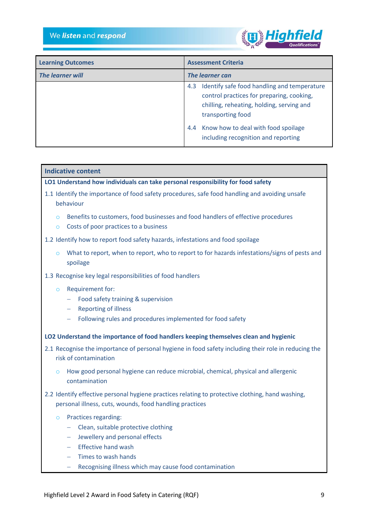

| <b>Learning Outcomes</b> | <b>Assessment Criteria</b>                                                                                                                   |  |
|--------------------------|----------------------------------------------------------------------------------------------------------------------------------------------|--|
| <b>The learner will</b>  | The learner can                                                                                                                              |  |
|                          | Identify safe food handling and temperature<br>4.3<br>control practices for preparing, cooking,<br>chilling, reheating, holding, serving and |  |
|                          | transporting food<br>Know how to deal with food spoilage<br>4.4<br>including recognition and reporting                                       |  |

## **Indicative content**

**LO1 Understand how individuals can take personal responsibility for food safety**

- 1.1 Identify the importance of food safety procedures, safe food handling and avoiding unsafe behaviour
	- $\circ$  Benefits to customers, food businesses and food handlers of effective procedures
	- o Costs of poor practices to a business
- 1.2 Identify how to report food safety hazards, infestations and food spoilage
	- $\circ$  What to report, when to report, who to report to for hazards infestations/signs of pests and spoilage
- 1.3 Recognise key legal responsibilities of food handlers
	- o Requirement for:
		- Food safety training & supervision
		- Reporting of illness
		- Following rules and procedures implemented for food safety
- **LO2 Understand the importance of food handlers keeping themselves clean and hygienic**
- 2.1 Recognise the importance of personal hygiene in food safety including their role in reducing the risk of contamination
	- $\circ$  How good personal hygiene can reduce microbial, chemical, physical and allergenic contamination
- 2.2 Identify effective personal hygiene practices relating to protective clothing, hand washing, personal illness, cuts, wounds, food handling practices
	- o Practices regarding:
		- Clean, suitable protective clothing
		- Jewellery and personal effects
		- $-$  Fffective hand wash
		- $-$  Times to wash hands
		- Recognising illness which may cause food contamination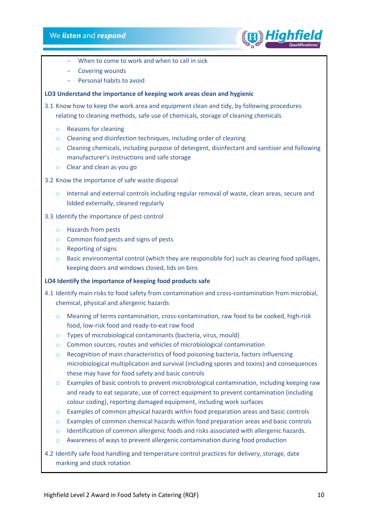

- When to come to work and when to call in sick
- Covering wounds
- Personal habits to avoid

## **LO3 Understand the importance of keeping work areas clean and hygienic**

3.1 Know how to keep the work area and equipment clean and tidy, by following procedures relating to cleaning methods, safe use of chemicals, storage of cleaning chemicals

- o Reasons for cleaning
- o Cleaning and disinfection techniques, including order of cleaning
- o Cleaning chemicals, including purpose of detergent, disinfectant and sanitiser and following manufacturer's instructions and safe storage
- o Clear and clean as you go
- 3.2 Know the importance of safe waste disposal
	- $\circ$  Internal and external controls including regular removal of waste, clean areas, secure and lidded externally, cleaned regularly
- 3.3 Identify the importance of pest control
	- o Hazards from pests
	- o Common food pests and signs of pests
	- o Reporting of signs
	- $\circ$  Basic environmental control (which they are responsible for) such as clearing food spillages, keeping doors and windows closed, lids on bins

## **LO4 Identify the importance of keeping food products safe**

- 4.1 Identify main risks to food safety from contamination and cross-contamination from microbial, chemical, physical and allergenic hazards
	- $\circ$  Meaning of terms contamination, cross-contamination, raw food to be cooked, high-risk food, low-risk food and ready-to-eat raw food
	- o Types of microbiological contaminants (bacteria, virus, mould)
	- o Common sources, routes and vehicles of microbiological contamination
	- $\circ$  Recognition of main characteristics of food poisoning bacteria, factors influencing microbiological multiplication and survival (including spores and toxins) and consequences these may have for food safety and basic controls
	- o Examples of basic controls to prevent microbiological contamination, including keeping raw and ready to eat separate, use of correct equipment to prevent contamination (including colour coding), reporting damaged equipment, including work surfaces
	- $\circ$  Examples of common physical hazards within food preparation areas and basic controls
	- $\circ$  Examples of common chemical hazards within food preparation areas and basic controls
	- $\circ$  Identification of common allergenic foods and risks associated with allergenic hazards.
	- o Awareness of ways to prevent allergenic contamination during food production

4.2 Identify safe food handling and temperature control practices for delivery, storage, date marking and stock rotation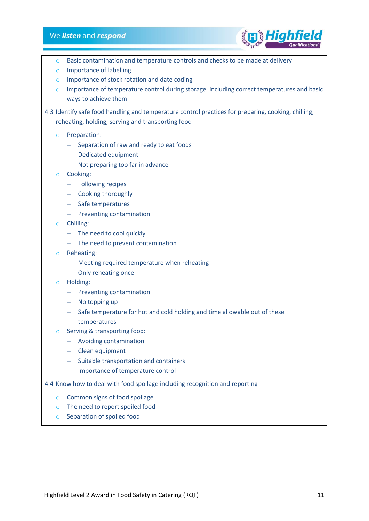## We listen and respond



- $\circ$  Basic contamination and temperature controls and checks to be made at delivery
- o Importance of labelling
- o Importance of stock rotation and date coding
- o Importance of temperature control during storage, including correct temperatures and basic ways to achieve them
- 4.3 Identify safe food handling and temperature control practices for preparing, cooking, chilling, reheating, holding, serving and transporting food
	- o Preparation:
		- Separation of raw and ready to eat foods
		- Dedicated equipment
		- Not preparing too far in advance
	- o Cooking:
		- Following recipes
		- Cooking thoroughly
		- Safe temperatures
		- $-$  Preventing contamination
	- o Chilling:
		- The need to cool quickly
		- $-$  The need to prevent contamination
	- o Reheating:
		- Meeting required temperature when reheating
		- Only reheating once
	- o Holding:
		- $-$  Preventing contamination
		- $-$  No topping up
		- Safe temperature for hot and cold holding and time allowable out of these temperatures
	- o Serving & transporting food:
		- Avoiding contamination
		- Clean equipment
		- Suitable transportation and containers
		- Importance of temperature control
- 4.4 Know how to deal with food spoilage including recognition and reporting
	- o Common signs of food spoilage
	- o The need to report spoiled food
	- o Separation of spoiled food